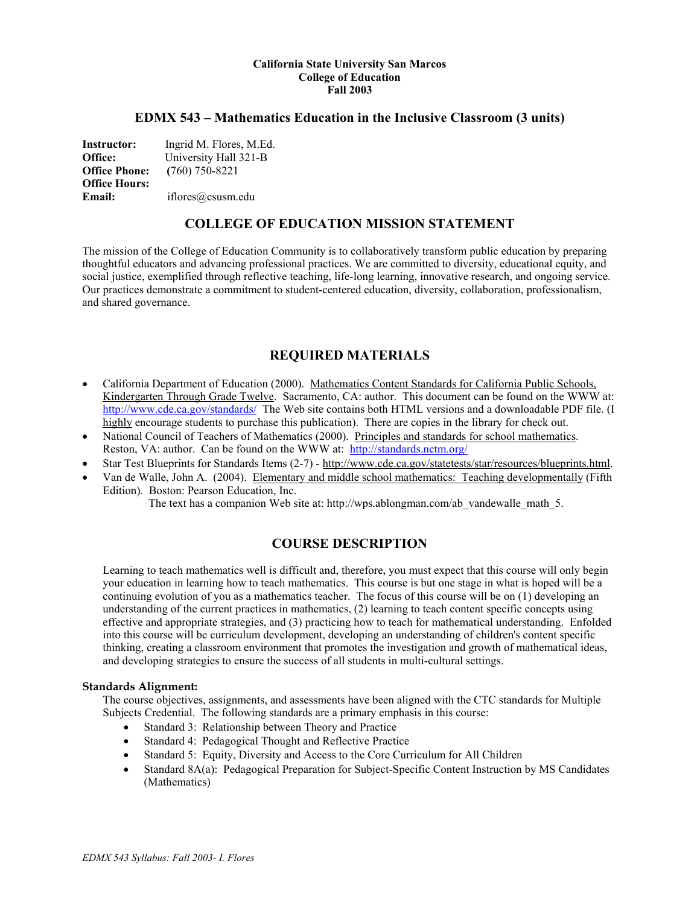#### **California State University San Marcos College of Education Fall 2003**

## **EDMX 543 – Mathematics Education in the Inclusive Classroom (3 units)**

**Instructor:** Ingrid M. Flores, M.Ed. **Office:** University Hall 321-B **Office Phone: (**760) 750-8221 **Office Hours: Email:** iflores@csusm.edu

## **COLLEGE OF EDUCATION MISSION STATEMENT**

The mission of the College of Education Community is to collaboratively transform public education by preparing thoughtful educators and advancing professional practices. We are committed to diversity, educational equity, and social justice, exemplified through reflective teaching, life-long learning, innovative research, and ongoing service. Our practices demonstrate a commitment to student-centered education, diversity, collaboration, professionalism, and shared governance.

## **REQUIRED MATERIALS**

- California Department of Education (2000). Mathematics Content Standards for California Public Schools, Kindergarten Through Grade Twelve. Sacramento, CA: author. This document can be found on the WWW at: http://www.cde.ca.gov/standards/ The Web site contains both HTML versions and a downloadable PDF file. (I highly encourage students to purchase this publication). There are copies in the library for check out.
- National Council of Teachers of Mathematics (2000). Principles and standards for school mathematics. Reston, VA: author. Can be found on the WWW at: http://standards.nctm.org/
- Star Test Blueprints for Standards Items (2-7) http://www.cde.ca.gov/statetests/star/resources/blueprints.html.
- Van de Walle, John A. (2004). Elementary and middle school mathematics: Teaching developmentally (Fifth Edition). Boston: Pearson Education, Inc.

The text has a companion Web site at: http://wps.ablongman.com/ab\_vandewalle\_math\_5.

## **COURSE DESCRIPTION**

Learning to teach mathematics well is difficult and, therefore, you must expect that this course will only begin your education in learning how to teach mathematics. This course is but one stage in what is hoped will be a continuing evolution of you as a mathematics teacher. The focus of this course will be on (1) developing an understanding of the current practices in mathematics, (2) learning to teach content specific concepts using effective and appropriate strategies, and (3) practicing how to teach for mathematical understanding. Enfolded into this course will be curriculum development, developing an understanding of children's content specific thinking, creating a classroom environment that promotes the investigation and growth of mathematical ideas, and developing strategies to ensure the success of all students in multi-cultural settings.

#### **Standards Alignment:**

The course objectives, assignments, and assessments have been aligned with the CTC standards for Multiple Subjects Credential. The following standards are a primary emphasis in this course:

- Standard 3: Relationship between Theory and Practice
- Standard 4: Pedagogical Thought and Reflective Practice
- Standard 5: Equity, Diversity and Access to the Core Curriculum for All Children
- Standard 8A(a): Pedagogical Preparation for Subject-Specific Content Instruction by MS Candidates (Mathematics)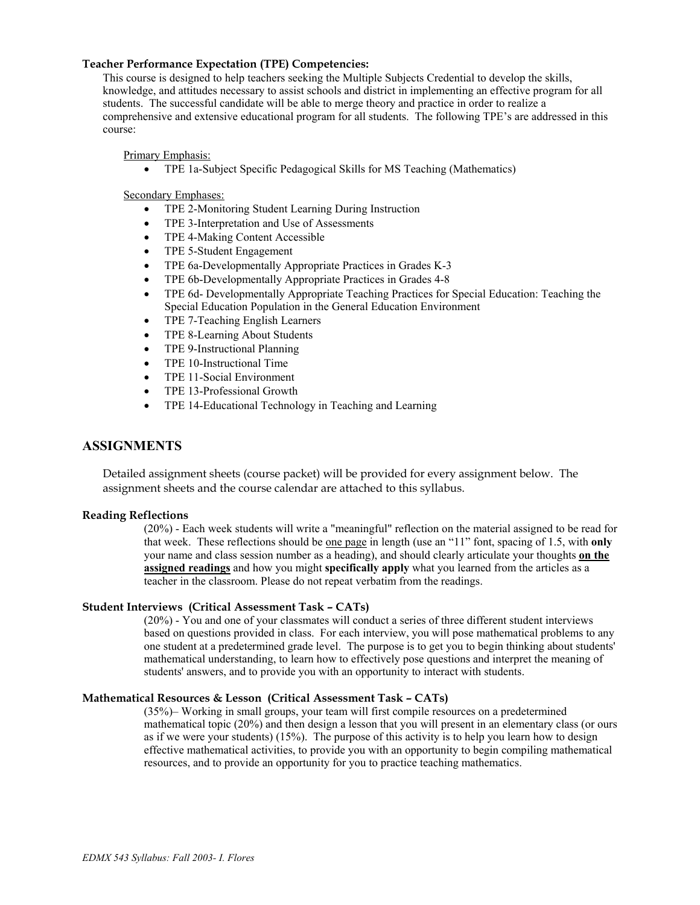#### **Teacher Performance Expectation (TPE) Competencies:**

This course is designed to help teachers seeking the Multiple Subjects Credential to develop the skills, knowledge, and attitudes necessary to assist schools and district in implementing an effective program for all students. The successful candidate will be able to merge theory and practice in order to realize a comprehensive and extensive educational program for all students. The following TPE's are addressed in this course:

Primary Emphasis:

• TPE 1a-Subject Specific Pedagogical Skills for MS Teaching (Mathematics)

Secondary Emphases:

- TPE 2-Monitoring Student Learning During Instruction
- TPE 3-Interpretation and Use of Assessments
- TPE 4-Making Content Accessible
- TPE 5-Student Engagement
- TPE 6a-Developmentally Appropriate Practices in Grades K-3
- TPE 6b-Developmentally Appropriate Practices in Grades 4-8
- TPE 6d- Developmentally Appropriate Teaching Practices for Special Education: Teaching the Special Education Population in the General Education Environment
- TPE 7-Teaching English Learners
- TPE 8-Learning About Students
- TPE 9-Instructional Planning
- TPE 10-Instructional Time
- TPE 11-Social Environment
- TPE 13-Professional Growth
- TPE 14-Educational Technology in Teaching and Learning

## **ASSIGNMENTS**

Detailed assignment sheets (course packet) will be provided for every assignment below. The assignment sheets and the course calendar are attached to this syllabus.

#### **Reading Reflections**

(20%) - Each week students will write a "meaningful" reflection on the material assigned to be read for that week. These reflections should be one page in length (use an "11" font, spacing of 1.5, with **only**  your name and class session number as a heading), and should clearly articulate your thoughts **on the assigned readings** and how you might **specifically apply** what you learned from the articles as a teacher in the classroom. Please do not repeat verbatim from the readings.

#### **Student Interviews (Critical Assessment Task – CATs)**

(20%) - You and one of your classmates will conduct a series of three different student interviews based on questions provided in class. For each interview, you will pose mathematical problems to any one student at a predetermined grade level. The purpose is to get you to begin thinking about students' mathematical understanding, to learn how to effectively pose questions and interpret the meaning of students' answers, and to provide you with an opportunity to interact with students.

#### **Mathematical Resources & Lesson (Critical Assessment Task – CATs)**

(35%)– Working in small groups, your team will first compile resources on a predetermined mathematical topic (20%) and then design a lesson that you will present in an elementary class (or ours as if we were your students) (15%). The purpose of this activity is to help you learn how to design effective mathematical activities, to provide you with an opportunity to begin compiling mathematical resources, and to provide an opportunity for you to practice teaching mathematics.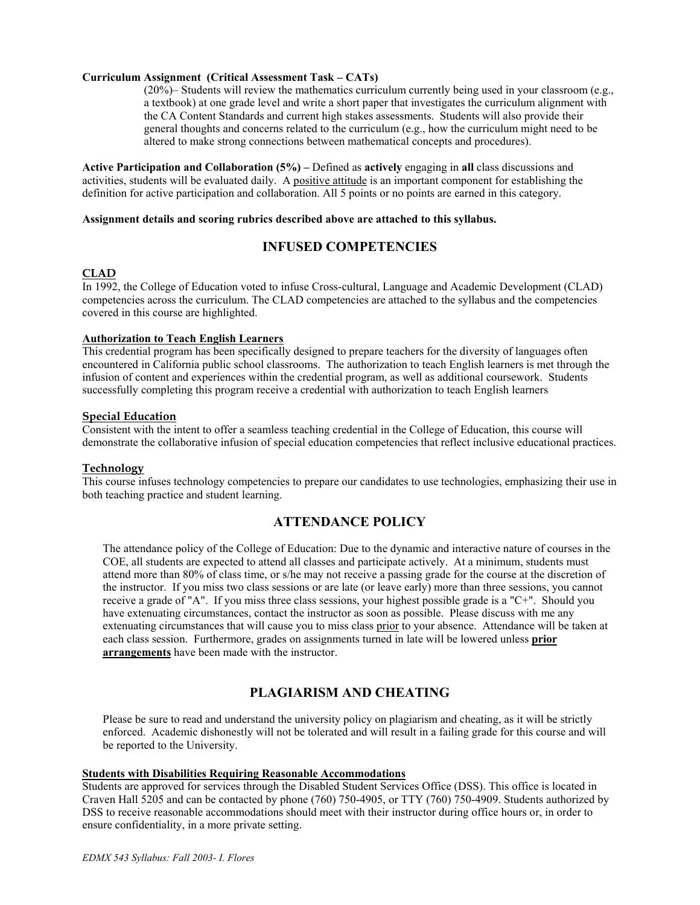#### **Curriculum Assignment (Critical Assessment Task – CATs)**

(20%)– Students will review the mathematics curriculum currently being used in your classroom (e.g., a textbook) at one grade level and write a short paper that investigates the curriculum alignment with the CA Content Standards and current high stakes assessments. Students will also provide their general thoughts and concerns related to the curriculum (e.g., how the curriculum might need to be altered to make strong connections between mathematical concepts and procedures).

**Active Participation and Collaboration (5%) –** Defined as **actively** engaging in **all** class discussions and activities, students will be evaluated daily. A positive attitude is an important component for establishing the definition for active participation and collaboration. All 5 points or no points are earned in this category.

#### **Assignment details and scoring rubrics described above are attached to this syllabus.**

## **INFUSED COMPETENCIES**

### **CLAD**

In 1992, the College of Education voted to infuse Cross-cultural, Language and Academic Development (CLAD) competencies across the curriculum. The CLAD competencies are attached to the syllabus and the competencies covered in this course are highlighted.

#### **Authorization to Teach English Learners**

This credential program has been specifically designed to prepare teachers for the diversity of languages often encountered in California public school classrooms. The authorization to teach English learners is met through the infusion of content and experiences within the credential program, as well as additional coursework. Students successfully completing this program receive a credential with authorization to teach English learners

#### **Special Education**

Consistent with the intent to offer a seamless teaching credential in the College of Education, this course will demonstrate the collaborative infusion of special education competencies that reflect inclusive educational practices.

#### **Technology**

This course infuses technology competencies to prepare our candidates to use technologies, emphasizing their use in both teaching practice and student learning.

## **ATTENDANCE POLICY**

The attendance policy of the College of Education: Due to the dynamic and interactive nature of courses in the COE, all students are expected to attend all classes and participate actively. At a minimum, students must attend more than 80% of class time, or s/he may not receive a passing grade for the course at the discretion of the instructor. If you miss two class sessions or are late (or leave early) more than three sessions, you cannot receive a grade of "A". If you miss three class sessions, your highest possible grade is a "C+". Should you have extenuating circumstances, contact the instructor as soon as possible. Please discuss with me any extenuating circumstances that will cause you to miss class prior to your absence. Attendance will be taken at each class session. Furthermore, grades on assignments turned in late will be lowered unless **prior arrangements** have been made with the instructor.

## **PLAGIARISM AND CHEATING**

Please be sure to read and understand the university policy on plagiarism and cheating, as it will be strictly enforced. Academic dishonestly will not be tolerated and will result in a failing grade for this course and will be reported to the University.

#### **Students with Disabilities Requiring Reasonable Accommodations**

Students are approved for services through the Disabled Student Services Office (DSS). This office is located in Craven Hall 5205 and can be contacted by phone (760) 750-4905, or TTY (760) 750-4909. Students authorized by DSS to receive reasonable accommodations should meet with their instructor during office hours or, in order to ensure confidentiality, in a more private setting.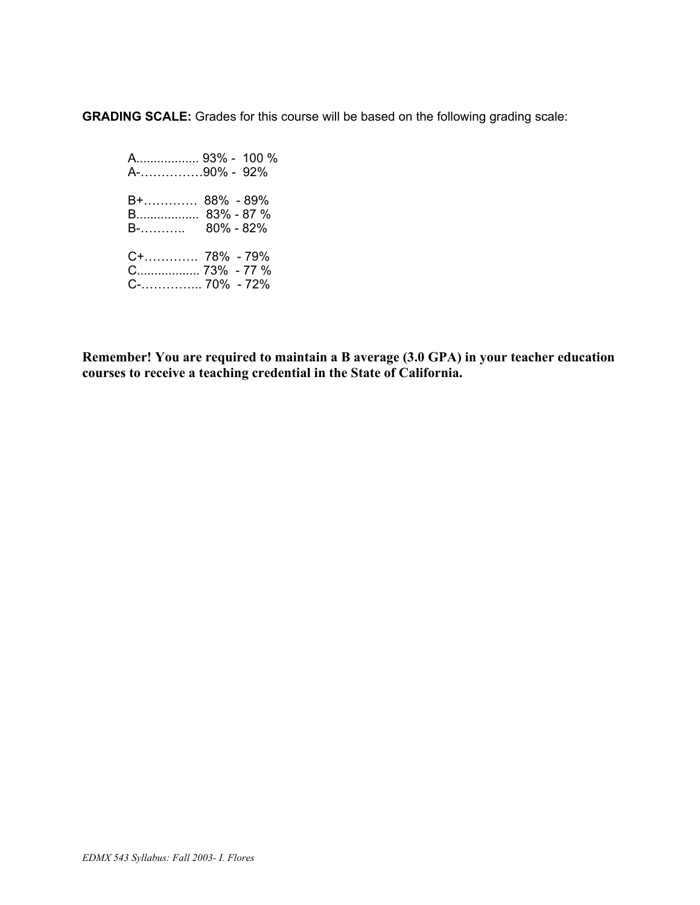**GRADING SCALE:** Grades for this course will be based on the following grading scale:

 A.................. 93% - 100 % A-……………90% - 92% B+…………. 88% - 89% B.................. 83% - 87 % B-……….. 80% - 82% C+…………. 78% - 79% C.................. 73% - 77 % C-…………... 70% - 72%

**Remember! You are required to maintain a B average (3.0 GPA) in your teacher education courses to receive a teaching credential in the State of California.**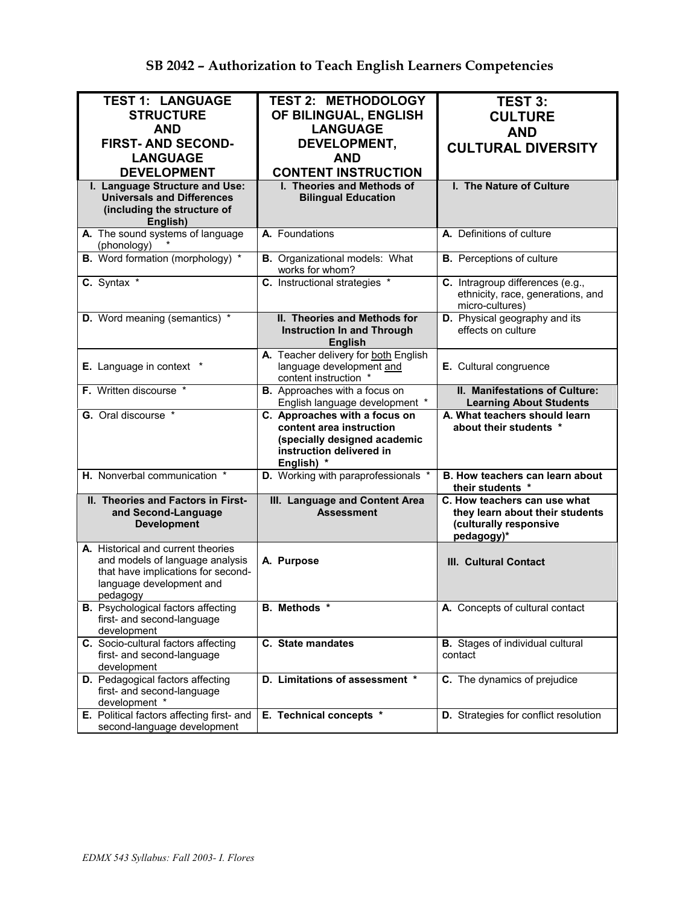| <b>TEST 1: LANGUAGE</b>                                                  | <b>TEST 2: METHODOLOGY</b>                                       | <b>TEST 3:</b>                                       |  |
|--------------------------------------------------------------------------|------------------------------------------------------------------|------------------------------------------------------|--|
| <b>STRUCTURE</b>                                                         | OF BILINGUAL, ENGLISH                                            | <b>CULTURE</b>                                       |  |
| <b>AND</b>                                                               | <b>LANGUAGE</b>                                                  | <b>AND</b>                                           |  |
| <b>FIRST-AND SECOND-</b>                                                 | DEVELOPMENT,                                                     | <b>CULTURAL DIVERSITY</b>                            |  |
| <b>LANGUAGE</b>                                                          | <b>AND</b>                                                       |                                                      |  |
| <b>DEVELOPMENT</b>                                                       | <b>CONTENT INSTRUCTION</b>                                       |                                                      |  |
| I. Language Structure and Use:                                           | I. Theories and Methods of                                       | I. The Nature of Culture                             |  |
| <b>Universals and Differences</b>                                        | <b>Bilingual Education</b>                                       |                                                      |  |
| (including the structure of                                              |                                                                  |                                                      |  |
| English)                                                                 | A. Foundations                                                   | A. Definitions of culture                            |  |
| A. The sound systems of language<br>(phonology)                          |                                                                  |                                                      |  |
| <b>B.</b> Word formation (morphology) *                                  | <b>B.</b> Organizational models: What<br>works for whom?         | <b>B.</b> Perceptions of culture                     |  |
| C. Syntax *                                                              | C. Instructional strategies *                                    | C. Intragroup differences (e.g.,                     |  |
|                                                                          |                                                                  | ethnicity, race, generations, and<br>micro-cultures) |  |
| D. Word meaning (semantics) *                                            | II. Theories and Methods for                                     | D. Physical geography and its                        |  |
|                                                                          | <b>Instruction In and Through</b>                                | effects on culture                                   |  |
|                                                                          | <b>English</b>                                                   |                                                      |  |
| E. Language in context *                                                 | A. Teacher delivery for both English<br>language development and | E. Cultural congruence                               |  |
|                                                                          | content instruction *                                            |                                                      |  |
| F. Written discourse *                                                   | <b>B.</b> Approaches with a focus on                             | II. Manifestations of Culture:                       |  |
|                                                                          | English language development *                                   | <b>Learning About Students</b>                       |  |
|                                                                          |                                                                  |                                                      |  |
| G. Oral discourse *                                                      | C. Approaches with a focus on                                    | A. What teachers should learn                        |  |
|                                                                          | content area instruction                                         | about their students *                               |  |
|                                                                          | (specially designed academic<br>instruction delivered in         |                                                      |  |
|                                                                          | English) *                                                       |                                                      |  |
| H. Nonverbal communication *                                             | D. Working with paraprofessionals *                              | B. How teachers can learn about<br>their students *  |  |
| II. Theories and Factors in First-                                       | III. Language and Content Area                                   | C. How teachers can use what                         |  |
| and Second-Language                                                      | <b>Assessment</b>                                                | they learn about their students                      |  |
| <b>Development</b>                                                       |                                                                  | (culturally responsive                               |  |
|                                                                          |                                                                  | pedagogy)*                                           |  |
| A. Historical and current theories<br>and models of language analysis    | A. Purpose                                                       | <b>III. Cultural Contact</b>                         |  |
| that have implications for second-                                       |                                                                  |                                                      |  |
| language development and                                                 |                                                                  |                                                      |  |
| pedagogy                                                                 |                                                                  |                                                      |  |
| <b>B.</b> Psychological factors affecting<br>first- and second-language  | B. Methods *                                                     | A. Concepts of cultural contact                      |  |
| development                                                              |                                                                  |                                                      |  |
| C. Socio-cultural factors affecting                                      | C. State mandates                                                | <b>B.</b> Stages of individual cultural              |  |
| first- and second-language                                               |                                                                  | contact                                              |  |
| development                                                              |                                                                  |                                                      |  |
| D. Pedagogical factors affecting                                         | D. Limitations of assessment *                                   | C. The dynamics of prejudice                         |  |
| first- and second-language<br>development *                              |                                                                  |                                                      |  |
| E. Political factors affecting first- and<br>second-language development | E. Technical concepts *                                          | D. Strategies for conflict resolution                |  |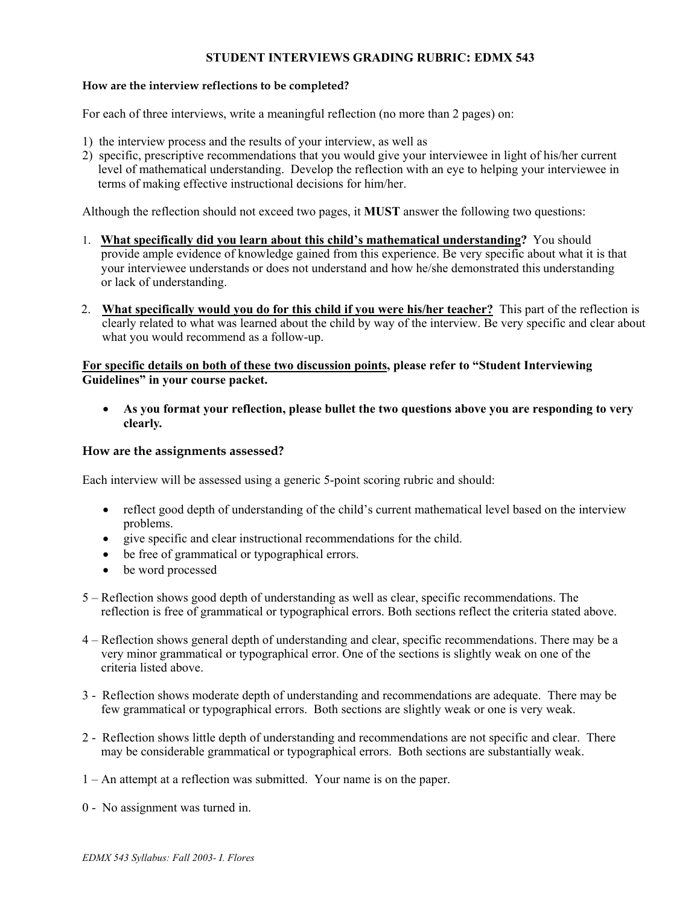## **STUDENT INTERVIEWS GRADING RUBRIC: EDMX 543**

## **How are the interview reflections to be completed?**

For each of three interviews, write a meaningful reflection (no more than 2 pages) on:

- 1) the interview process and the results of your interview, as well as
- 2) specific, prescriptive recommendations that you would give your interviewee in light of his/her current level of mathematical understanding. Develop the reflection with an eye to helping your interviewee in terms of making effective instructional decisions for him/her.

Although the reflection should not exceed two pages, it **MUST** answer the following two questions:

- 1. **What specifically did you learn about this child's mathematical understanding?** You should provide ample evidence of knowledge gained from this experience. Be very specific about what it is that your interviewee understands or does not understand and how he/she demonstrated this understanding or lack of understanding.
- 2. **What specifically would you do for this child if you were his/her teacher?** This part of the reflection is clearly related to what was learned about the child by way of the interview. Be very specific and clear about what you would recommend as a follow-up.

## **For specific details on both of these two discussion points, please refer to "Student Interviewing Guidelines" in your course packet.**

• **As you format your reflection, please bullet the two questions above you are responding to very clearly***.* 

### **How are the assignments assessed?**

Each interview will be assessed using a generic 5-point scoring rubric and should:

- reflect good depth of understanding of the child's current mathematical level based on the interview problems.
- give specific and clear instructional recommendations for the child.
- be free of grammatical or typographical errors.
- be word processed
- 5 Reflection shows good depth of understanding as well as clear, specific recommendations. The reflection is free of grammatical or typographical errors. Both sections reflect the criteria stated above.
- 4 Reflection shows general depth of understanding and clear, specific recommendations. There may be a very minor grammatical or typographical error. One of the sections is slightly weak on one of the criteria listed above.
- 3 Reflection shows moderate depth of understanding and recommendations are adequate. There may be few grammatical or typographical errors. Both sections are slightly weak or one is very weak.
- 2 Reflection shows little depth of understanding and recommendations are not specific and clear. There may be considerable grammatical or typographical errors. Both sections are substantially weak.
- 1 An attempt at a reflection was submitted. Your name is on the paper.
- 0 No assignment was turned in.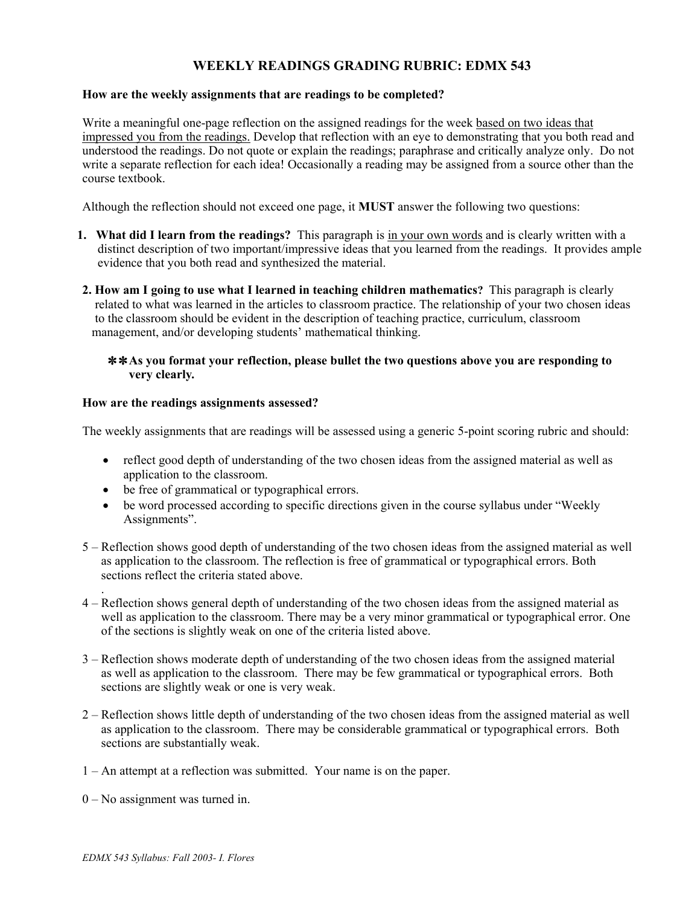# **WEEKLY READINGS GRADING RUBRIC: EDMX 543**

## **How are the weekly assignments that are readings to be completed?**

Write a meaningful one-page reflection on the assigned readings for the week based on two ideas that impressed you from the readings. Develop that reflection with an eye to demonstrating that you both read and understood the readings. Do not quote or explain the readings; paraphrase and critically analyze only. Do not write a separate reflection for each idea! Occasionally a reading may be assigned from a source other than the course textbook.

Although the reflection should not exceed one page, it **MUST** answer the following two questions:

- **1. What did I learn from the readings?** This paragraph is in your own words and is clearly written with a distinct description of two important/impressive ideas that you learned from the readings. It provides ample evidence that you both read and synthesized the material.
- **2. How am I going to use what I learned in teaching children mathematics?** This paragraph is clearly related to what was learned in the articles to classroom practice. The relationship of your two chosen ideas to the classroom should be evident in the description of teaching practice, curriculum, classroom management, and/or developing students' mathematical thinking.

### ✼ ✼ **As you format your reflection, please bullet the two questions above you are responding to very clearly***.*

### **How are the readings assignments assessed?**

The weekly assignments that are readings will be assessed using a generic 5-point scoring rubric and should:

- reflect good depth of understanding of the two chosen ideas from the assigned material as well as application to the classroom.
- be free of grammatical or typographical errors.
- be word processed according to specific directions given in the course syllabus under "Weekly" Assignments".
- 5 Reflection shows good depth of understanding of the two chosen ideas from the assigned material as well as application to the classroom. The reflection is free of grammatical or typographical errors. Both sections reflect the criteria stated above.
- 4 Reflection shows general depth of understanding of the two chosen ideas from the assigned material as well as application to the classroom. There may be a very minor grammatical or typographical error. One of the sections is slightly weak on one of the criteria listed above.
- 3 Reflection shows moderate depth of understanding of the two chosen ideas from the assigned material as well as application to the classroom. There may be few grammatical or typographical errors. Both sections are slightly weak or one is very weak.
- 2 Reflection shows little depth of understanding of the two chosen ideas from the assigned material as well as application to the classroom. There may be considerable grammatical or typographical errors. Both sections are substantially weak.
- 1 An attempt at a reflection was submitted. Your name is on the paper.
- 0 No assignment was turned in.

.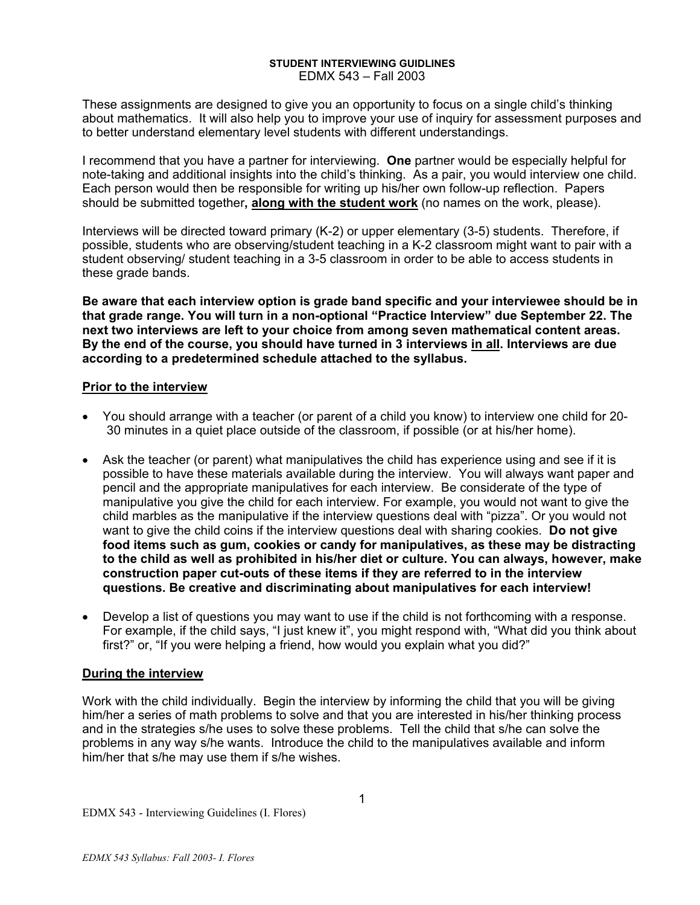#### **STUDENT INTERVIEWING GUIDLINES**  EDMX 543 – Fall 2003

These assignments are designed to give you an opportunity to focus on a single child's thinking about mathematics. It will also help you to improve your use of inquiry for assessment purposes and to better understand elementary level students with different understandings.

I recommend that you have a partner for interviewing. **One** partner would be especially helpful for note-taking and additional insights into the child's thinking. As a pair, you would interview one child. Each person would then be responsible for writing up his/her own follow-up reflection. Papers should be submitted together**, along with the student work** (no names on the work, please).

Interviews will be directed toward primary (K-2) or upper elementary (3-5) students. Therefore, if possible, students who are observing/student teaching in a K-2 classroom might want to pair with a student observing/ student teaching in a 3-5 classroom in order to be able to access students in these grade bands.

**Be aware that each interview option is grade band specific and your interviewee should be in that grade range. You will turn in a non-optional "Practice Interview" due September 22. The next two interviews are left to your choice from among seven mathematical content areas. By the end of the course, you should have turned in 3 interviews in all. Interviews are due according to a predetermined schedule attached to the syllabus.**

## **Prior to the interview**

- You should arrange with a teacher (or parent of a child you know) to interview one child for 20- 30 minutes in a quiet place outside of the classroom, if possible (or at his/her home).
- Ask the teacher (or parent) what manipulatives the child has experience using and see if it is possible to have these materials available during the interview. You will always want paper and pencil and the appropriate manipulatives for each interview. Be considerate of the type of manipulative you give the child for each interview. For example, you would not want to give the child marbles as the manipulative if the interview questions deal with "pizza". Or you would not want to give the child coins if the interview questions deal with sharing cookies. **Do not give food items such as gum, cookies or candy for manipulatives, as these may be distracting to the child as well as prohibited in his/her diet or culture. You can always, however, make construction paper cut-outs of these items if they are referred to in the interview questions. Be creative and discriminating about manipulatives for each interview!**
- Develop a list of questions you may want to use if the child is not forthcoming with a response. For example, if the child says, "I just knew it", you might respond with, "What did you think about first?" or, "If you were helping a friend, how would you explain what you did?"

## **During the interview**

Work with the child individually. Begin the interview by informing the child that you will be giving him/her a series of math problems to solve and that you are interested in his/her thinking process and in the strategies s/he uses to solve these problems. Tell the child that s/he can solve the problems in any way s/he wants. Introduce the child to the manipulatives available and inform him/her that s/he may use them if s/he wishes.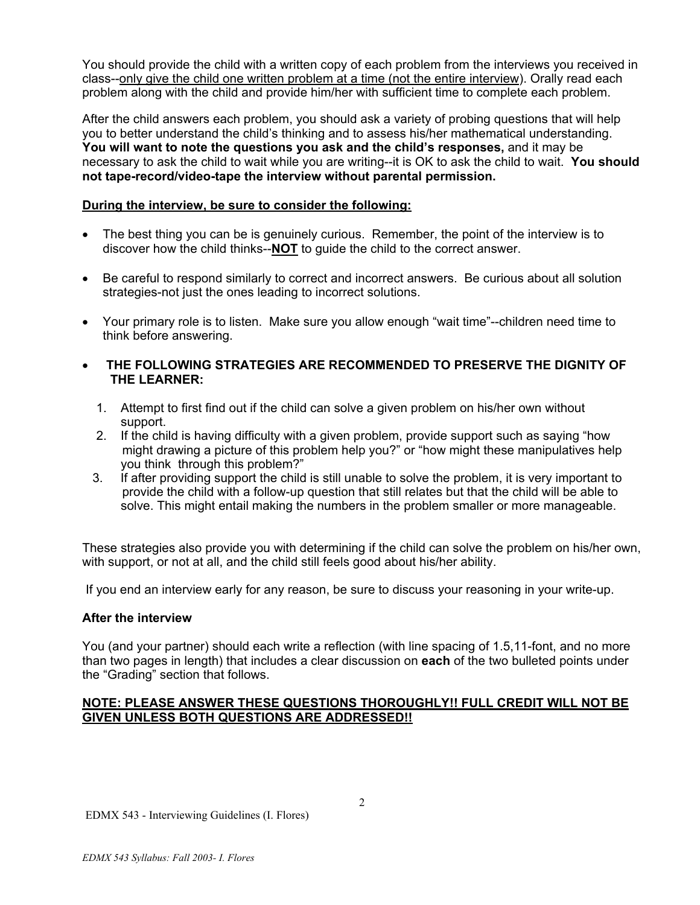You should provide the child with a written copy of each problem from the interviews you received in class--only give the child one written problem at a time (not the entire interview). Orally read each problem along with the child and provide him/her with sufficient time to complete each problem.

After the child answers each problem, you should ask a variety of probing questions that will help you to better understand the child's thinking and to assess his/her mathematical understanding. **You will want to note the questions you ask and the child's responses,** and it may be necessary to ask the child to wait while you are writing--it is OK to ask the child to wait. **You should not tape-record/video-tape the interview without parental permission.** 

## **During the interview, be sure to consider the following:**

- The best thing you can be is genuinely curious. Remember, the point of the interview is to discover how the child thinks--**NOT** to guide the child to the correct answer.
- Be careful to respond similarly to correct and incorrect answers. Be curious about all solution strategies-not just the ones leading to incorrect solutions.
- Your primary role is to listen. Make sure you allow enough "wait time"--children need time to think before answering.
- • **THE FOLLOWING STRATEGIES ARE RECOMMENDED TO PRESERVE THE DIGNITY OF THE LEARNER:** 
	- 1. Attempt to first find out if the child can solve a given problem on his/her own without support.
	- 2. If the child is having difficulty with a given problem, provide support such as saying "how might drawing a picture of this problem help you?" or "how might these manipulatives help you think through this problem?"
	- 3. If after providing support the child is still unable to solve the problem, it is very important to provide the child with a follow-up question that still relates but that the child will be able to solve. This might entail making the numbers in the problem smaller or more manageable.

These strategies also provide you with determining if the child can solve the problem on his/her own, with support, or not at all, and the child still feels good about his/her ability.

If you end an interview early for any reason, be sure to discuss your reasoning in your write-up.

## **After the interview**

You (and your partner) should each write a reflection (with line spacing of 1.5,11-font, and no more than two pages in length) that includes a clear discussion on **each** of the two bulleted points under the "Grading" section that follows.

## **NOTE: PLEASE ANSWER THESE QUESTIONS THOROUGHLY!! FULL CREDIT WILL NOT BE GIVEN UNLESS BOTH QUESTIONS ARE ADDRESSED!!**

EDMX 543 - Interviewing Guidelines (I. Flores)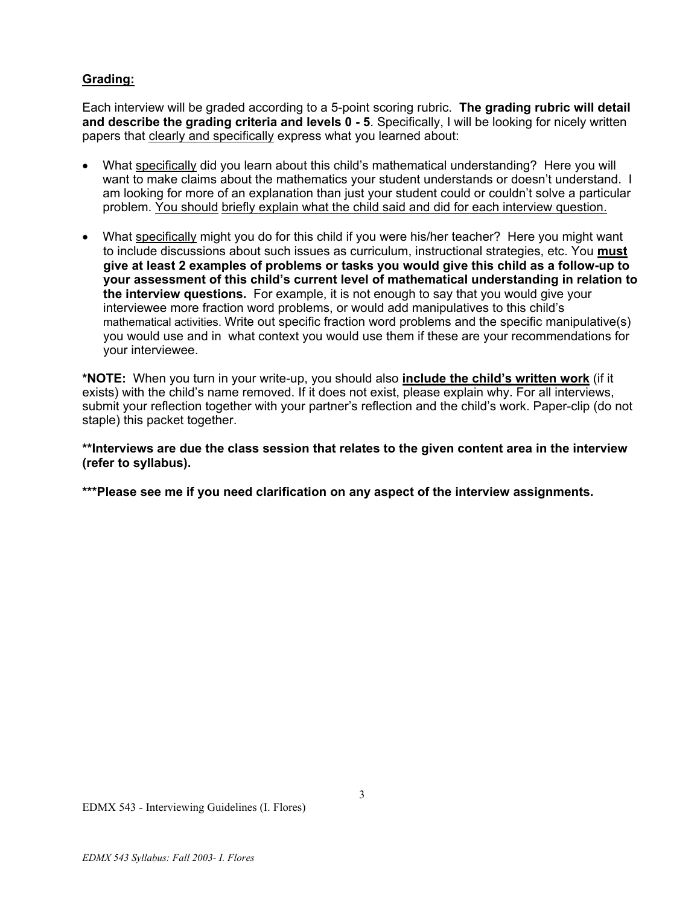# **Grading:**

Each interview will be graded according to a 5-point scoring rubric. **The grading rubric will detail and describe the grading criteria and levels 0 - 5**. Specifically, I will be looking for nicely written papers that clearly and specifically express what you learned about:

- What specifically did you learn about this child's mathematical understanding? Here you will want to make claims about the mathematics your student understands or doesn't understand. I am looking for more of an explanation than just your student could or couldn't solve a particular problem. You should briefly explain what the child said and did for each interview question.
- What specifically might you do for this child if you were his/her teacher? Here you might want to include discussions about such issues as curriculum, instructional strategies, etc. You **must give at least 2 examples of problems or tasks you would give this child as a follow-up to your assessment of this child's current level of mathematical understanding in relation to the interview questions.** For example, it is not enough to say that you would give your interviewee more fraction word problems, or would add manipulatives to this child's mathematical activities. Write out specific fraction word problems and the specific manipulative(s) you would use and in what context you would use them if these are your recommendations for your interviewee.

**\*NOTE:** When you turn in your write-up, you should also **include the child's written work** (if it exists) with the child's name removed. If it does not exist, please explain why. For all interviews, submit your reflection together with your partner's reflection and the child's work. Paper-clip (do not staple) this packet together.

**\*\*Interviews are due the class session that relates to the given content area in the interview (refer to syllabus).** 

**\*\*\*Please see me if you need clarification on any aspect of the interview assignments.**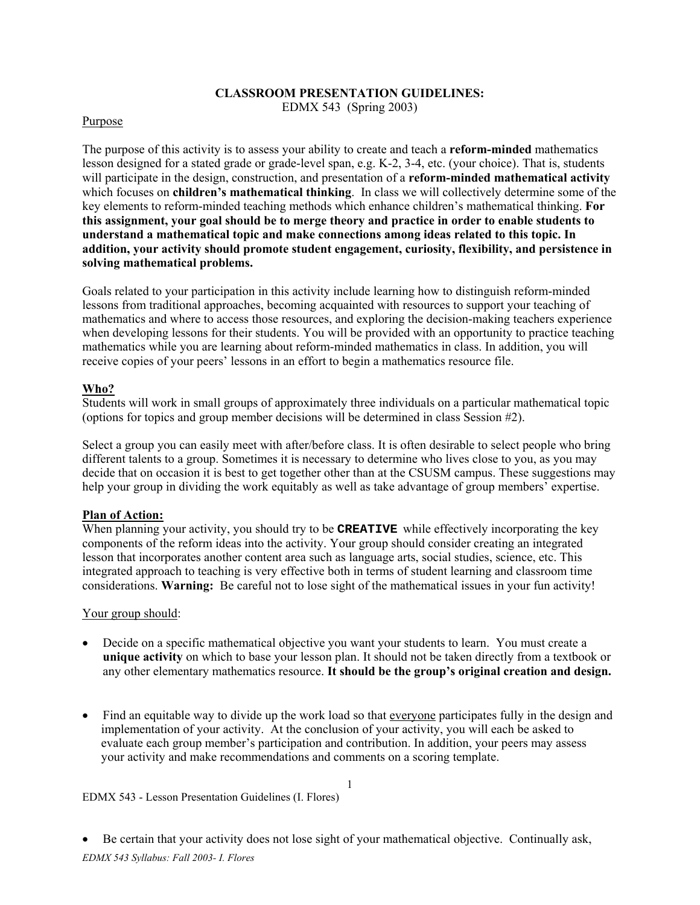## **CLASSROOM PRESENTATION GUIDELINES:** EDMX 543 (Spring 2003)

#### Purpose

The purpose of this activity is to assess your ability to create and teach a **reform-minded** mathematics lesson designed for a stated grade or grade-level span, e.g. K-2, 3-4, etc. (your choice). That is, students will participate in the design, construction, and presentation of a **reform-minded mathematical activity** which focuses on **children's mathematical thinking**. In class we will collectively determine some of the key elements to reform-minded teaching methods which enhance children's mathematical thinking. **For this assignment, your goal should be to merge theory and practice in order to enable students to understand a mathematical topic and make connections among ideas related to this topic. In addition, your activity should promote student engagement, curiosity, flexibility, and persistence in solving mathematical problems.** 

Goals related to your participation in this activity include learning how to distinguish reform-minded lessons from traditional approaches, becoming acquainted with resources to support your teaching of mathematics and where to access those resources, and exploring the decision-making teachers experience when developing lessons for their students. You will be provided with an opportunity to practice teaching mathematics while you are learning about reform-minded mathematics in class. In addition, you will receive copies of your peers' lessons in an effort to begin a mathematics resource file.

## **Who?**

Students will work in small groups of approximately three individuals on a particular mathematical topic (options for topics and group member decisions will be determined in class Session #2).

Select a group you can easily meet with after/before class. It is often desirable to select people who bring different talents to a group. Sometimes it is necessary to determine who lives close to you, as you may decide that on occasion it is best to get together other than at the CSUSM campus. These suggestions may help your group in dividing the work equitably as well as take advantage of group members' expertise.

## **Plan of Action:**

When planning your activity, you should try to be **CREATIVE** while effectively incorporating the key components of the reform ideas into the activity. Your group should consider creating an integrated lesson that incorporates another content area such as language arts, social studies, science, etc. This integrated approach to teaching is very effective both in terms of student learning and classroom time considerations. **Warning:** Be careful not to lose sight of the mathematical issues in your fun activity!

#### Your group should:

- Decide on a specific mathematical objective you want your students to learn. You must create a **unique activity** on which to base your lesson plan. It should not be taken directly from a textbook or any other elementary mathematics resource. **It should be the group's original creation and design.**
- Find an equitable way to divide up the work load so that everyone participates fully in the design and implementation of your activity. At the conclusion of your activity, you will each be asked to evaluate each group member's participation and contribution. In addition, your peers may assess your activity and make recommendations and comments on a scoring template.

1

#### EDMX 543 - Lesson Presentation Guidelines (I. Flores)

*EDMX 543 Syllabus: Fall 2003- I. Flores*  • Be certain that your activity does not lose sight of your mathematical objective. Continually ask,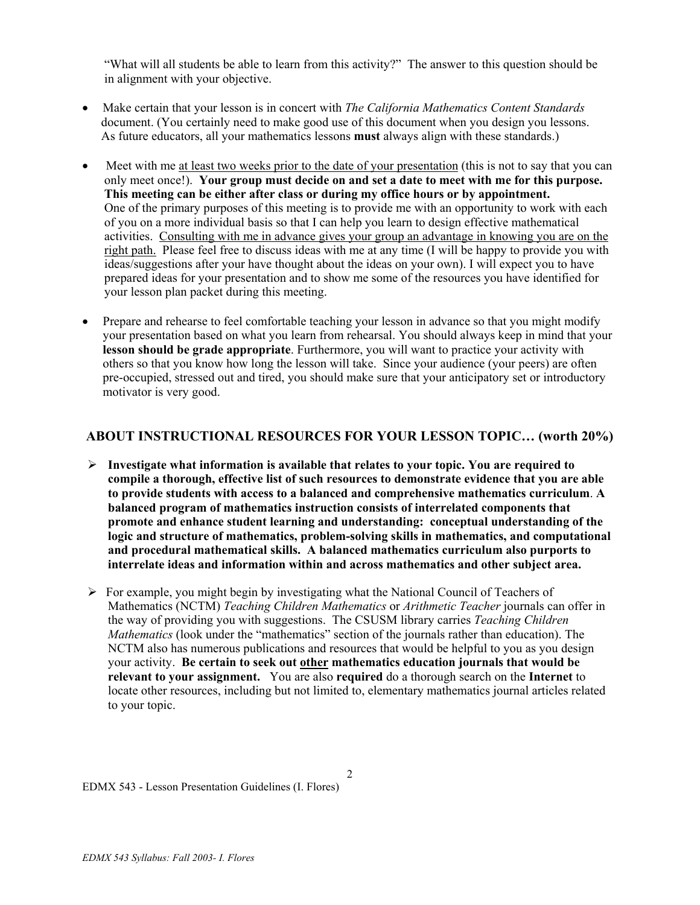"What will all students be able to learn from this activity?" The answer to this question should be in alignment with your objective.

- Make certain that your lesson is in concert with *The California Mathematics Content Standards* document. (You certainly need to make good use of this document when you design you lessons. As future educators, all your mathematics lessons **must** always align with these standards.)
- Meet with me at least two weeks prior to the date of your presentation (this is not to say that you can only meet once!). **Your group must decide on and set a date to meet with me for this purpose. This meeting can be either after class or during my office hours or by appointment.** One of the primary purposes of this meeting is to provide me with an opportunity to work with each of you on a more individual basis so that I can help you learn to design effective mathematical activities. Consulting with me in advance gives your group an advantage in knowing you are on the right path. Please feel free to discuss ideas with me at any time (I will be happy to provide you with ideas/suggestions after your have thought about the ideas on your own). I will expect you to have prepared ideas for your presentation and to show me some of the resources you have identified for your lesson plan packet during this meeting.
- Prepare and rehearse to feel comfortable teaching your lesson in advance so that you might modify your presentation based on what you learn from rehearsal. You should always keep in mind that your **lesson should be grade appropriate**. Furthermore, you will want to practice your activity with others so that you know how long the lesson will take. Since your audience (your peers) are often pre-occupied, stressed out and tired, you should make sure that your anticipatory set or introductory motivator is very good.

## **ABOUT INSTRUCTIONAL RESOURCES FOR YOUR LESSON TOPIC… (worth 20%)**

- ¾ **Investigate what information is available that relates to your topic. You are required to compile a thorough, effective list of such resources to demonstrate evidence that you are able to provide students with access to a balanced and comprehensive mathematics curriculum**. **A balanced program of mathematics instruction consists of interrelated components that promote and enhance student learning and understanding: conceptual understanding of the logic and structure of mathematics, problem-solving skills in mathematics, and computational and procedural mathematical skills. A balanced mathematics curriculum also purports to interrelate ideas and information within and across mathematics and other subject area.**
- $\triangleright$  For example, you might begin by investigating what the National Council of Teachers of Mathematics (NCTM) *Teaching Children Mathematics* or *Arithmetic Teacher* journals can offer in the way of providing you with suggestions. The CSUSM library carries *Teaching Children Mathematics* (look under the "mathematics" section of the journals rather than education). The NCTM also has numerous publications and resources that would be helpful to you as you design your activity. **Be certain to seek out other mathematics education journals that would be relevant to your assignment.** You are also **required** do a thorough search on the **Internet** to locate other resources, including but not limited to, elementary mathematics journal articles related to your topic.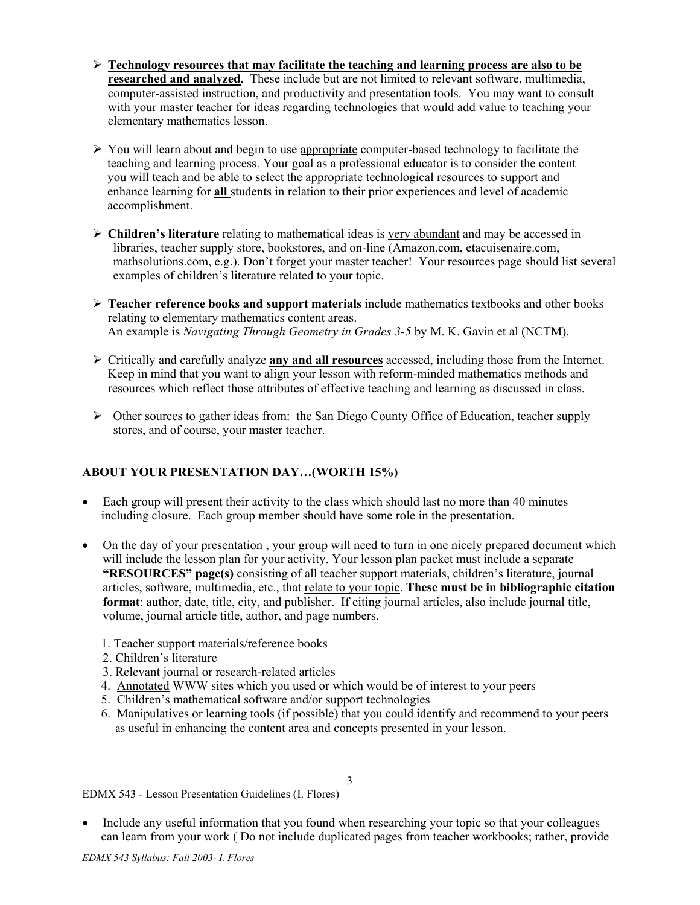- ¾ **Technology resources that may facilitate the teaching and learning process are also to be researched and analyzed.** These include but are not limited to relevant software, multimedia, computer-assisted instruction, and productivity and presentation tools. You may want to consult with your master teacher for ideas regarding technologies that would add value to teaching your elementary mathematics lesson.
- ¾ You will learn about and begin to use appropriate computer-based technology to facilitate the teaching and learning process. Your goal as a professional educator is to consider the content you will teach and be able to select the appropriate technological resources to support and enhance learning for **all** students in relation to their prior experiences and level of academic accomplishment.
- ¾ **Children's literature** relating to mathematical ideas is very abundant and may be accessed in libraries, teacher supply store, bookstores, and on-line (Amazon.com, etacuisenaire.com, mathsolutions.com, e.g.). Don't forget your master teacher! Your resources page should list several examples of children's literature related to your topic.
- ¾ **Teacher reference books and support materials** include mathematics textbooks and other books relating to elementary mathematics content areas. An example is *Navigating Through Geometry in Grades 3-5* by M. K. Gavin et al (NCTM).
- ¾ Critically and carefully analyze **any and all resources** accessed, including those from the Internet. Keep in mind that you want to align your lesson with reform-minded mathematics methods and resources which reflect those attributes of effective teaching and learning as discussed in class.
- $\triangleright$  Other sources to gather ideas from: the San Diego County Office of Education, teacher supply stores, and of course, your master teacher.

## **ABOUT YOUR PRESENTATION DAY…(WORTH 15%)**

- Each group will present their activity to the class which should last no more than 40 minutes including closure.Each group member should have some role in the presentation.
- On the day of your presentation, your group will need to turn in one nicely prepared document which will include the lesson plan for your activity. Your lesson plan packet must include a separate **"RESOURCES" page(s)** consisting of all teacher support materials, children's literature, journal articles, software, multimedia, etc., that relate to your topic. **These must be in bibliographic citation format**: author, date, title, city, and publisher. If citing journal articles, also include journal title, volume, journal article title, author, and page numbers.
	- 1. Teacher support materials/reference books
	- 2. Children's literature
	- 3. Relevant journal or research-related articles
	- 4. Annotated WWW sites which you used or which would be of interest to your peers
	- 5. Children's mathematical software and/or support technologies
	- 6. Manipulatives or learning tools (if possible) that you could identify and recommend to your peers as useful in enhancing the content area and concepts presented in your lesson.

EDMX 543 - Lesson Presentation Guidelines (I. Flores)

• Include any useful information that you found when researching your topic so that your colleagues can learn from your work ( Do not include duplicated pages from teacher workbooks; rather, provide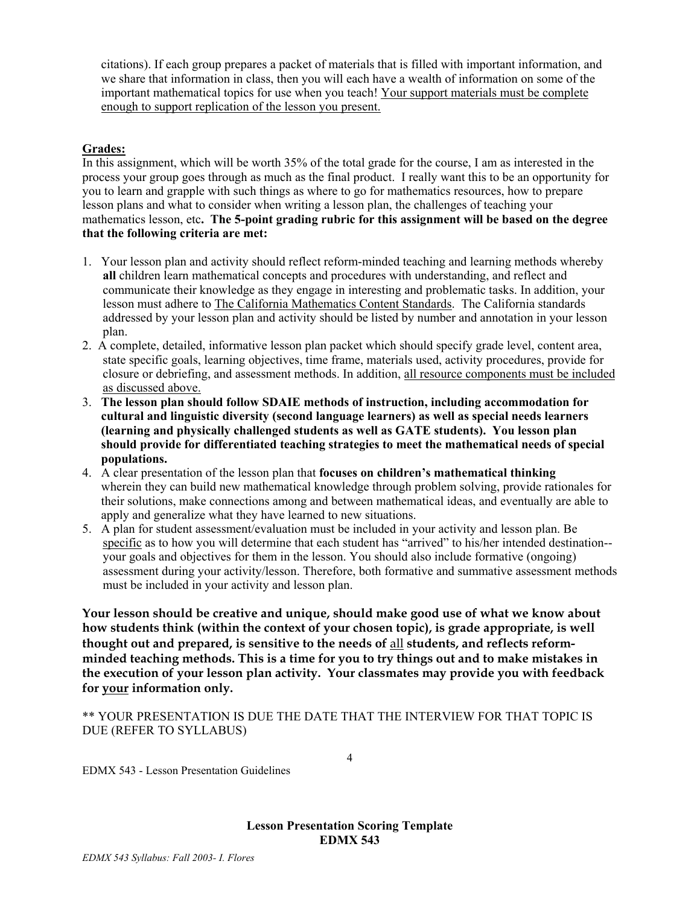citations). If each group prepares a packet of materials that is filled with important information, and we share that information in class, then you will each have a wealth of information on some of the important mathematical topics for use when you teach! Your support materials must be complete enough to support replication of the lesson you present.

## **Grades:**

In this assignment, which will be worth 35% of the total grade for the course, I am as interested in the process your group goes through as much as the final product. I really want this to be an opportunity for you to learn and grapple with such things as where to go for mathematics resources, how to prepare lesson plans and what to consider when writing a lesson plan, the challenges of teaching your mathematics lesson, etc**. The 5-point grading rubric for this assignment will be based on the degree that the following criteria are met:** 

- 1. Your lesson plan and activity should reflect reform-minded teaching and learning methods whereby **all** children learn mathematical concepts and procedures with understanding, and reflect and communicate their knowledge as they engage in interesting and problematic tasks. In addition, your lesson must adhere to The California Mathematics Content Standards. The California standards addressed by your lesson plan and activity should be listed by number and annotation in your lesson plan.
- 2. A complete, detailed, informative lesson plan packet which should specify grade level, content area, state specific goals, learning objectives, time frame, materials used, activity procedures, provide for closure or debriefing, and assessment methods. In addition, all resource components must be included as discussed above.
- 3. **The lesson plan should follow SDAIE methods of instruction, including accommodation for cultural and linguistic diversity (second language learners) as well as special needs learners (learning and physically challenged students as well as GATE students). You lesson plan should provide for differentiated teaching strategies to meet the mathematical needs of special populations.**
- 4. A clear presentation of the lesson plan that **focuses on children's mathematical thinking**  wherein they can build new mathematical knowledge through problem solving, provide rationales for their solutions, make connections among and between mathematical ideas, and eventually are able to apply and generalize what they have learned to new situations.
- 5. A plan for student assessment/evaluation must be included in your activity and lesson plan. Be specific as to how you will determine that each student has "arrived" to his/her intended destination- your goals and objectives for them in the lesson. You should also include formative (ongoing) assessment during your activity/lesson. Therefore, both formative and summative assessment methods must be included in your activity and lesson plan.

**Your lesson should be creative and unique, should make good use of what we know about how students think (within the context of your chosen topic), is grade appropriate, is well thought out and prepared, is sensitive to the needs of** all **students, and reflects reformminded teaching methods. This is a time for you to try things out and to make mistakes in the execution of your lesson plan activity. Your classmates may provide you with feedback for your information only.** 

\*\* YOUR PRESENTATION IS DUE THE DATE THAT THE INTERVIEW FOR THAT TOPIC IS DUE (REFER TO SYLLABUS)

EDMX 543 - Lesson Presentation Guidelines

**Lesson Presentation Scoring Template EDMX 543**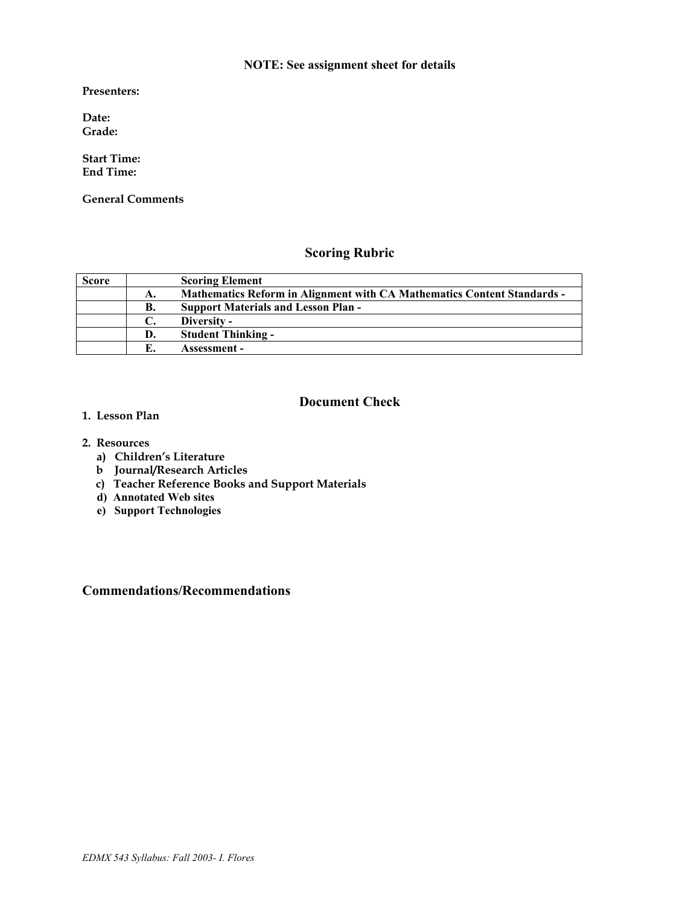## **NOTE: See assignment sheet for details**

**Presenters:** 

**Date: Grade:** 

**Start Time: End Time:** 

**General Comments** 

# **Scoring Rubric**

| <b>Score</b> |    | <b>Scoring Element</b>                                                         |
|--------------|----|--------------------------------------------------------------------------------|
|              | А. | <b>Mathematics Reform in Alignment with CA Mathematics Content Standards -</b> |
|              | В. | <b>Support Materials and Lesson Plan -</b>                                     |
|              |    | Diversity -                                                                    |
|              | D. | <b>Student Thinking -</b>                                                      |
|              |    | Assessment –                                                                   |

## **Document Check**

- **1. Lesson Plan**
- **2. Resources** 
	- **a) Children's Literature**
	- **b Journal/Research Articles**
	- **c) Teacher Reference Books and Support Materials**
	- **d) Annotated Web sites**
	- **e) Support Technologies**

## **Commendations/Recommendations**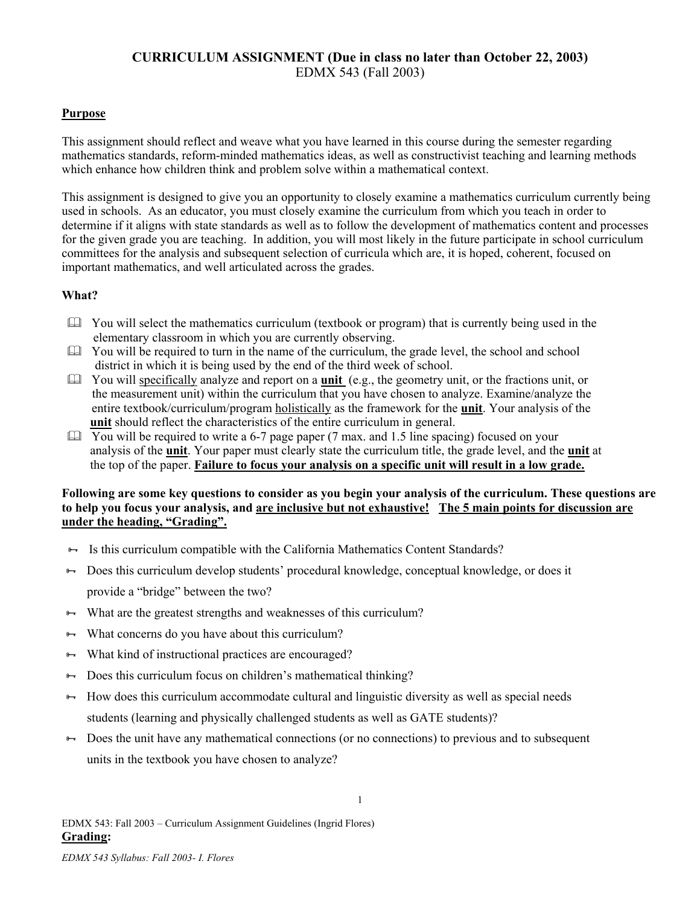# **CURRICULUM ASSIGNMENT (Due in class no later than October 22, 2003)**  EDMX 543 (Fall 2003)

## **Purpose**

This assignment should reflect and weave what you have learned in this course during the semester regarding mathematics standards, reform-minded mathematics ideas, as well as constructivist teaching and learning methods which enhance how children think and problem solve within a mathematical context.

This assignment is designed to give you an opportunity to closely examine a mathematics curriculum currently being used in schools. As an educator, you must closely examine the curriculum from which you teach in order to determine if it aligns with state standards as well as to follow the development of mathematics content and processes for the given grade you are teaching. In addition, you will most likely in the future participate in school curriculum committees for the analysis and subsequent selection of curricula which are, it is hoped, coherent, focused on important mathematics, and well articulated across the grades.

## **What?**

- You will select the mathematics curriculum (textbook or program) that is currently being used in the elementary classroom in which you are currently observing.
- $\Box$  You will be required to turn in the name of the curriculum, the grade level, the school and school district in which it is being used by the end of the third week of school.
- You will specifically analyze and report on a **unit** (e.g., the geometry unit, or the fractions unit, or the measurement unit) within the curriculum that you have chosen to analyze. Examine/analyze the entire textbook/curriculum/program holistically as the framework for the **unit**. Your analysis of the **unit** should reflect the characteristics of the entire curriculum in general.
- $\Box$  You will be required to write a 6-7 page paper (7 max. and 1.5 line spacing) focused on your analysis of the **unit**. Your paper must clearly state the curriculum title, the grade level, and the **unit** at the top of the paper. **Failure to focus your analysis on a specific unit will result in a low grade.**

### **Following are some key questions to consider as you begin your analysis of the curriculum. These questions are to help you focus your analysis, and are inclusive but not exhaustive! The 5 main points for discussion are under the heading, "Grading".**

- Is this curriculum compatible with the California Mathematics Content Standards?
- <sup>8→</sup> Does this curriculum develop students' procedural knowledge, conceptual knowledge, or does it provide a "bridge" between the two?
- $\leftrightarrow$  What are the greatest strengths and weaknesses of this curriculum?
- $\rightarrow$  What concerns do you have about this curriculum?
- $\rightarrow$  What kind of instructional practices are encouraged?
- $\rightarrow$  Does this curriculum focus on children's mathematical thinking?
- $\leftrightarrow$  How does this curriculum accommodate cultural and linguistic diversity as well as special needs students (learning and physically challenged students as well as GATE students)?
- $\rightarrow$  Does the unit have any mathematical connections (or no connections) to previous and to subsequent units in the textbook you have chosen to analyze?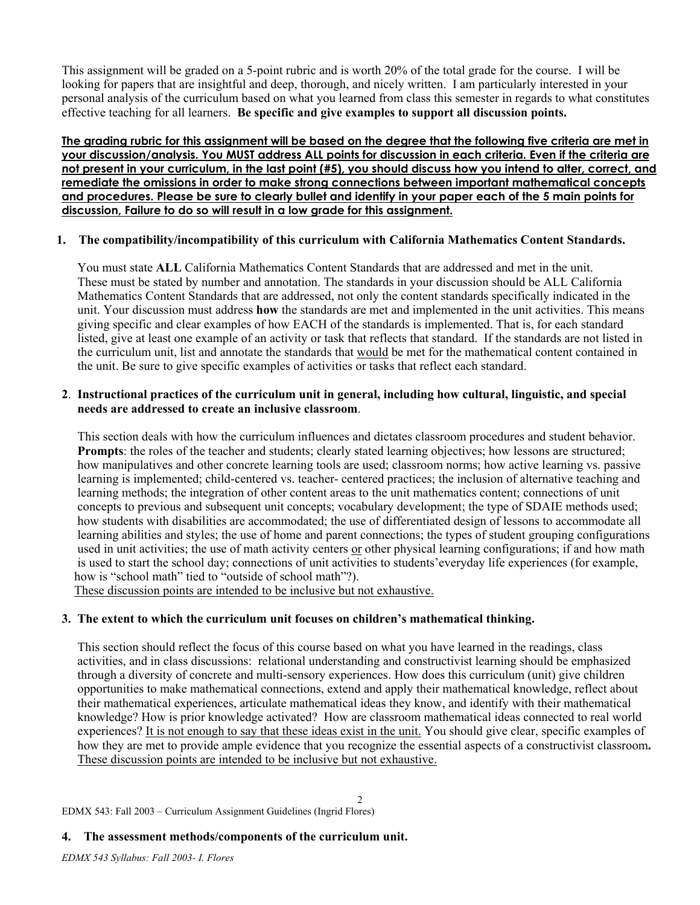This assignment will be graded on a 5-point rubric and is worth 20% of the total grade for the course. I will be looking for papers that are insightful and deep, thorough, and nicely written. I am particularly interested in your personal analysis of the curriculum based on what you learned from class this semester in regards to what constitutes effective teaching for all learners. **Be specific and give examples to support all discussion points.** 

**The grading rubric for this assignment will be based on the degree that the following five criteria are met in your discussion/analysis. You MUST address ALL points for discussion in each criteria. Even if the criteria are not present in your curriculum, in the last point (#5), you should discuss how you intend to alter, correct, and remediate the omissions in order to make strong connections between important mathematical concepts and procedures. Please be sure to clearly bullet and identify in your paper each of the 5 main points for discussion, Failure to do so will result in a low grade for this assignment.**

## **1. The compatibility/incompatibility of this curriculum with California Mathematics Content Standards.**

 You must state **ALL** California Mathematics Content Standards that are addressed and met in the unit. These must be stated by number and annotation. The standards in your discussion should be ALL California Mathematics Content Standards that are addressed, not only the content standards specifically indicated in the unit. Your discussion must address **how** the standards are met and implemented in the unit activities. This means giving specific and clear examples of how EACH of the standards is implemented. That is, for each standard listed, give at least one example of an activity or task that reflects that standard. If the standards are not listed in the curriculum unit, list and annotate the standards that would be met for the mathematical content contained in the unit. Be sure to give specific examples of activities or tasks that reflect each standard.

## **2**. **Instructional practices of the curriculum unit in general, including how cultural, linguistic, and special needs are addressed to create an inclusive classroom**.

 This section deals with how the curriculum influences and dictates classroom procedures and student behavior. **Prompts**: the roles of the teacher and students; clearly stated learning objectives; how lessons are structured; how manipulatives and other concrete learning tools are used; classroom norms; how active learning vs. passive learning is implemented; child-centered vs. teacher- centered practices; the inclusion of alternative teaching and learning methods; the integration of other content areas to the unit mathematics content; connections of unit concepts to previous and subsequent unit concepts; vocabulary development; the type of SDAIE methods used; how students with disabilities are accommodated; the use of differentiated design of lessons to accommodate all learning abilities and styles; the use of home and parent connections; the types of student grouping configurations used in unit activities; the use of math activity centers or other physical learning configurations; if and how math is used to start the school day; connections of unit activities to students'everyday life experiences (for example, how is "school math" tied to "outside of school math"?).

These discussion points are intended to be inclusive but not exhaustive.

## **3. The extent to which the curriculum unit focuses on children's mathematical thinking.**

 This section should reflect the focus of this course based on what you have learned in the readings, class activities, and in class discussions: relational understanding and constructivist learning should be emphasized through a diversity of concrete and multi-sensory experiences. How does this curriculum (unit) give children opportunities to make mathematical connections, extend and apply their mathematical knowledge, reflect about their mathematical experiences, articulate mathematical ideas they know, and identify with their mathematical knowledge? How is prior knowledge activated? How are classroom mathematical ideas connected to real world experiences? It is not enough to say that these ideas exist in the unit. You should give clear, specific examples of how they are met to provide ample evidence that you recognize the essential aspects of a constructivist classroom**.**  These discussion points are intended to be inclusive but not exhaustive.

2

EDMX 543: Fall 2003 – Curriculum Assignment Guidelines (Ingrid Flores)

## **4. The assessment methods/components of the curriculum unit.**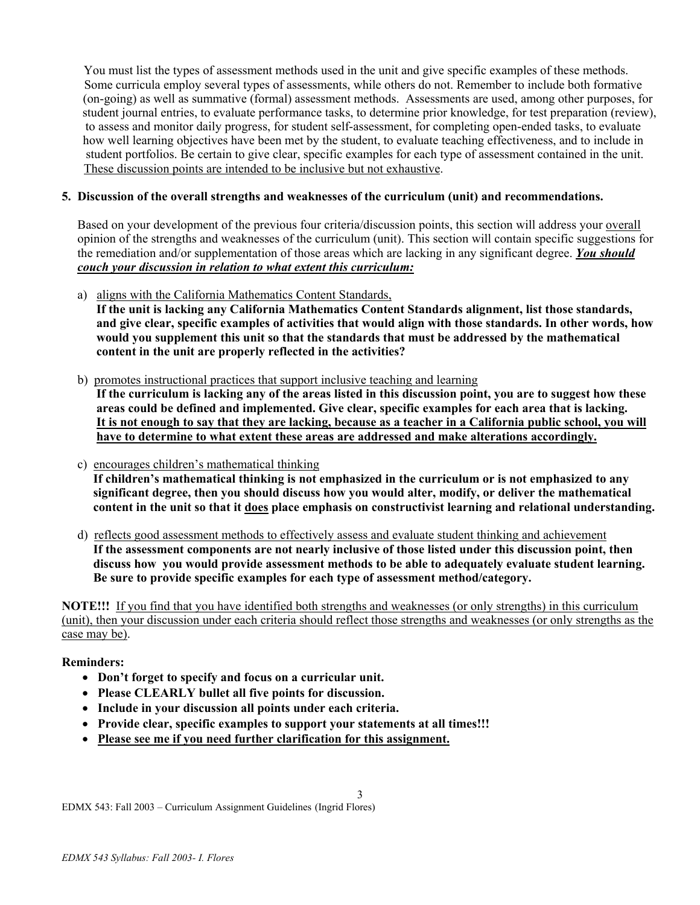You must list the types of assessment methods used in the unit and give specific examples of these methods. Some curricula employ several types of assessments, while others do not. Remember to include both formative (on-going) as well as summative (formal) assessment methods. Assessments are used, among other purposes, for student journal entries, to evaluate performance tasks, to determine prior knowledge, for test preparation (review), to assess and monitor daily progress, for student self-assessment, for completing open-ended tasks, to evaluate how well learning objectives have been met by the student, to evaluate teaching effectiveness, and to include in student portfolios. Be certain to give clear, specific examples for each type of assessment contained in the unit. These discussion points are intended to be inclusive but not exhaustive.

### **5. Discussion of the overall strengths and weaknesses of the curriculum (unit) and recommendations.**

 Based on your development of the previous four criteria/discussion points, this section will address your overall opinion of the strengths and weaknesses of the curriculum (unit). This section will contain specific suggestions for the remediation and/or supplementation of those areas which are lacking in any significant degree. *You should couch your discussion in relation to what extent this curriculum:*

a) aligns with the California Mathematics Content Standards,

 **If the unit is lacking any California Mathematics Content Standards alignment, list those standards, and give clear, specific examples of activities that would align with those standards. In other words, how would you supplement this unit so that the standards that must be addressed by the mathematical content in the unit are properly reflected in the activities?** 

b) promotes instructional practices that support inclusive teaching and learning

 **If the curriculum is lacking any of the areas listed in this discussion point, you are to suggest how these areas could be defined and implemented. Give clear, specific examples for each area that is lacking. It is not enough to say that they are lacking, because as a teacher in a California public school, you will have to determine to what extent these areas are addressed and make alterations accordingly.** 

- c) encourages children's mathematical thinking **If children's mathematical thinking is not emphasized in the curriculum or is not emphasized to any significant degree, then you should discuss how you would alter, modify, or deliver the mathematical content in the unit so that it does place emphasis on constructivist learning and relational understanding.**
- d) reflects good assessment methods to effectively assess and evaluate student thinking and achievement **If the assessment components are not nearly inclusive of those listed under this discussion point, then discuss how you would provide assessment methods to be able to adequately evaluate student learning. Be sure to provide specific examples for each type of assessment method/category.**

**NOTE!!!** If you find that you have identified both strengths and weaknesses (or only strengths) in this curriculum (unit), then your discussion under each criteria should reflect those strengths and weaknesses (or only strengths as the case may be).

3

## **Reminders:**

- **Don't forget to specify and focus on a curricular unit.**
- **Please CLEARLY bullet all five points for discussion.**
- **Include in your discussion all points under each criteria.**
- **Provide clear, specific examples to support your statements at all times!!!**
- **Please see me if you need further clarification for this assignment.**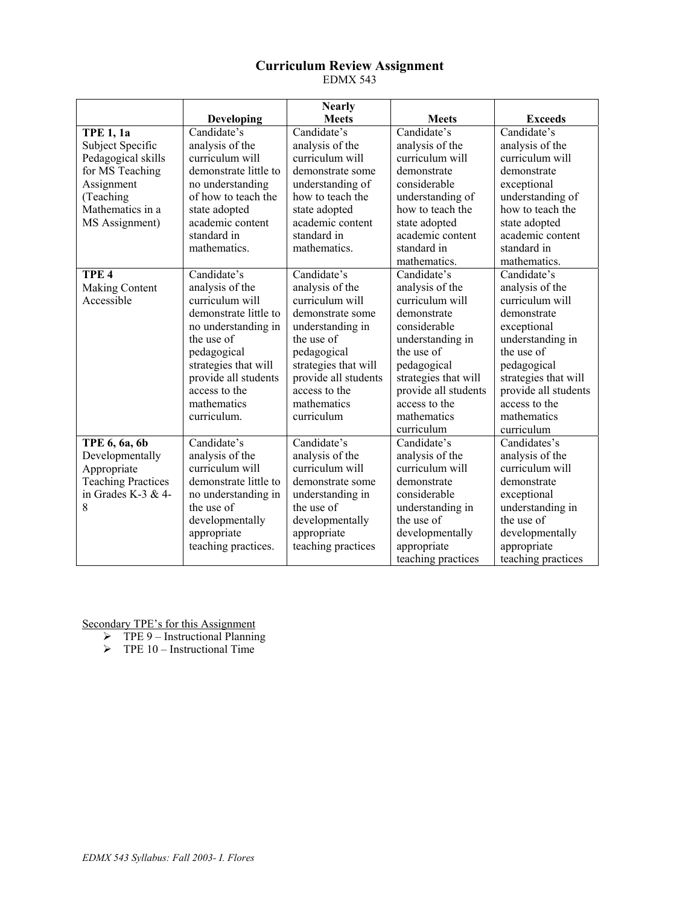## **Curriculum Review Assignment**  EDMX 543

|                           |                       | <b>Nearly</b>        |                      |                      |
|---------------------------|-----------------------|----------------------|----------------------|----------------------|
|                           | Developing            | <b>Meets</b>         | <b>Meets</b>         | <b>Exceeds</b>       |
| <b>TPE 1, 1a</b>          | Candidate's           | Candidate's          | Candidate's          | Candidate's          |
| Subject Specific          | analysis of the       | analysis of the      | analysis of the      | analysis of the      |
| Pedagogical skills        | curriculum will       | curriculum will      | curriculum will      | curriculum will      |
| for MS Teaching           | demonstrate little to | demonstrate some     | demonstrate          | demonstrate          |
| Assignment                | no understanding      | understanding of     | considerable         | exceptional          |
| (Teaching                 | of how to teach the   | how to teach the     | understanding of     | understanding of     |
| Mathematics in a          | state adopted         | state adopted        | how to teach the     | how to teach the     |
| MS Assignment)            | academic content      | academic content     | state adopted        | state adopted        |
|                           | standard in           | standard in          | academic content     | academic content     |
|                           | mathematics.          | mathematics.         | standard in          | standard in          |
|                           |                       |                      | mathematics.         | mathematics.         |
| TPE <sub>4</sub>          | Candidate's           | Candidate's          | Candidate's          | Candidate's          |
| Making Content            | analysis of the       | analysis of the      | analysis of the      | analysis of the      |
| Accessible                | curriculum will       | curriculum will      | curriculum will      | curriculum will      |
|                           | demonstrate little to | demonstrate some     | demonstrate          | demonstrate          |
|                           | no understanding in   | understanding in     | considerable         | exceptional          |
|                           | the use of            | the use of           | understanding in     | understanding in     |
|                           | pedagogical           | pedagogical          | the use of           | the use of           |
|                           | strategies that will  | strategies that will | pedagogical          | pedagogical          |
|                           | provide all students  | provide all students | strategies that will | strategies that will |
|                           | access to the         | access to the        | provide all students | provide all students |
|                           | mathematics           | mathematics          | access to the        | access to the        |
|                           | curriculum.           | curriculum           | mathematics          | mathematics          |
|                           |                       |                      | curriculum           | curriculum           |
| TPE 6, 6a, 6b             | Candidate's           | Candidate's          | Candidate's          | Candidates's         |
| Developmentally           | analysis of the       | analysis of the      | analysis of the      | analysis of the      |
| Appropriate               | curriculum will       | curriculum will      | curriculum will      | curriculum will      |
| <b>Teaching Practices</b> | demonstrate little to | demonstrate some     | demonstrate          | demonstrate          |
| in Grades K-3 & 4-        | no understanding in   | understanding in     | considerable         | exceptional          |
| 8                         | the use of            | the use of           | understanding in     | understanding in     |
|                           | developmentally       | developmentally      | the use of           | the use of           |
|                           | appropriate           | appropriate          | developmentally      | developmentally      |
|                           | teaching practices.   | teaching practices   | appropriate          | appropriate          |
|                           |                       |                      | teaching practices   | teaching practices   |

Secondary TPE's for this Assignment

 $\triangleright$  TPE 9 – Instructional Planning

 $\triangleright$  TPE 10 – Instructional Time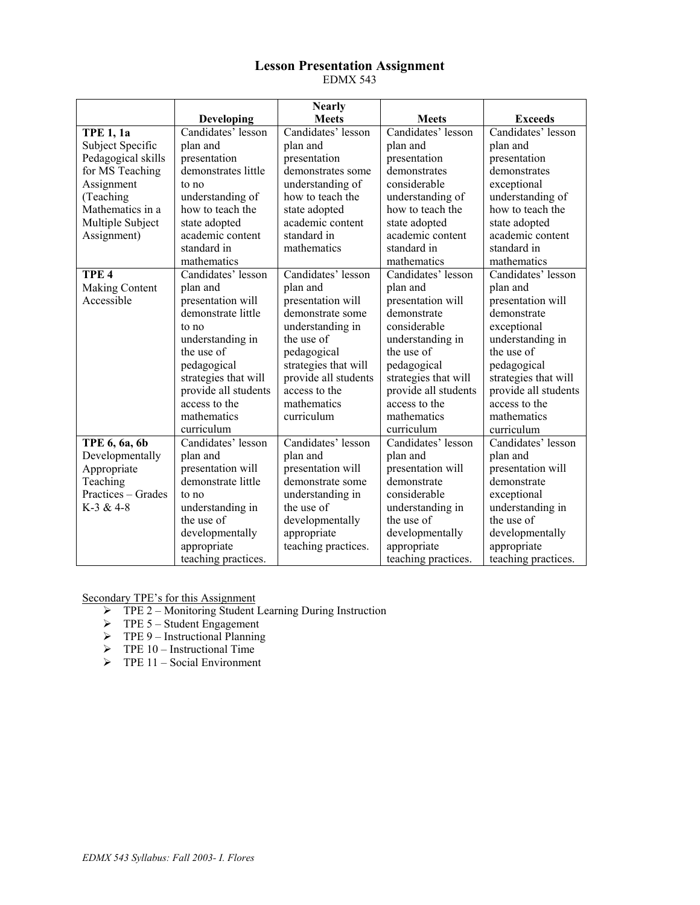### **Lesson Presentation Assignment**  EDMX 543

|                    |                      | <b>Nearly</b>        |                             |                      |
|--------------------|----------------------|----------------------|-----------------------------|----------------------|
|                    | Developing           | <b>Meets</b>         | <b>Meets</b>                | <b>Exceeds</b>       |
| <b>TPE 1, 1a</b>   | Candidates' lesson   | Candidates' lesson   | Candidates' lesson          | Candidates' lesson   |
| Subject Specific   | plan and             | plan and             | plan and                    | plan and             |
| Pedagogical skills | presentation         | presentation         | presentation                | presentation         |
| for MS Teaching    | demonstrates little  | demonstrates some    | demonstrates                | demonstrates         |
| Assignment         | to no                | understanding of     | considerable                | exceptional          |
| (Teaching          | understanding of     | how to teach the     | understanding of            | understanding of     |
| Mathematics in a   | how to teach the     | state adopted        | how to teach the            | how to teach the     |
| Multiple Subject   | state adopted        | academic content     | state adopted               | state adopted        |
| Assignment)        | academic content     | standard in          | academic content            | academic content     |
|                    | standard in          | mathematics          | standard in                 | standard in          |
|                    | mathematics          |                      | mathematics                 | mathematics          |
| TPE <sub>4</sub>   | Candidates' lesson   | Candidates' lesson   | Candidates' lesson          | Candidates' lesson   |
| Making Content     | plan and             | plan and             | plan and                    | plan and             |
| Accessible         | presentation will    | presentation will    | presentation will           | presentation will    |
|                    | demonstrate little   | demonstrate some     | demonstrate                 | demonstrate          |
|                    | to no                | understanding in     | considerable                | exceptional          |
|                    | understanding in     | the use of           | understanding in            | understanding in     |
|                    | the use of           | pedagogical          | the use of                  | the use of           |
|                    | pedagogical          | strategies that will | pedagogical                 | pedagogical          |
|                    | strategies that will | provide all students | strategies that will        | strategies that will |
|                    | provide all students | access to the        | provide all students        | provide all students |
|                    | access to the        | mathematics          | access to the               | access to the        |
|                    | mathematics          | curriculum           | mathematics<br>mathematics  |                      |
|                    | curriculum           |                      | curriculum                  | curriculum           |
| TPE 6, 6a, 6b      | Candidates' lesson   | Candidates' lesson   | Candidates' lesson          | Candidates' lesson   |
| Developmentally    | plan and             | plan and             | plan and                    | plan and             |
| Appropriate        | presentation will    | presentation will    | presentation will           | presentation will    |
| Teaching           | demonstrate little   | demonstrate some     | demonstrate<br>demonstrate  |                      |
| Practices - Grades | to no                | understanding in     | considerable<br>exceptional |                      |
| K-3 & 4-8          | understanding in     | the use of           | understanding in            | understanding in     |
|                    | the use of           | developmentally      | the use of                  | the use of           |
|                    | developmentally      | appropriate          | developmentally             | developmentally      |
|                    | appropriate          | teaching practices.  | appropriate                 | appropriate          |
|                    | teaching practices.  |                      | teaching practices.         | teaching practices.  |

Secondary TPE's for this Assignment

- ¾ TPE 2 Monitoring Student Learning During Instruction
- $\triangleright$  TPE 5 Student Engagement
- $\triangleright$  TPE 9 Instructional Planning
- $\triangleright$  TPE 10 Instructional Time
- $\triangleright$  TPE 11 Social Environment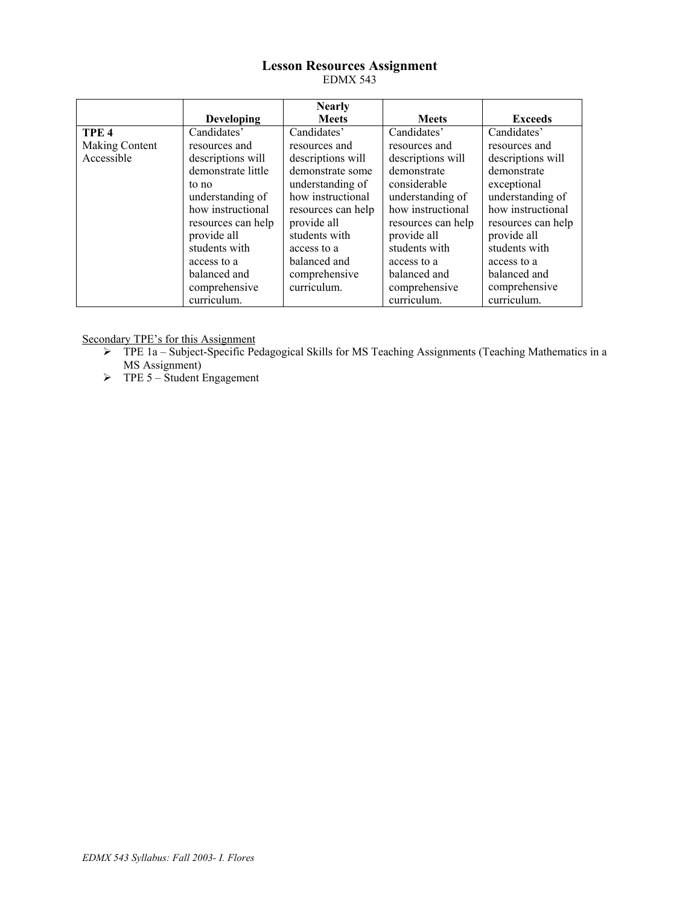## **Lesson Resources Assignment**  EDMX 543

|                  |                    | <b>Nearly</b>      |                    |                    |
|------------------|--------------------|--------------------|--------------------|--------------------|
|                  | <b>Developing</b>  | <b>Meets</b>       | <b>Meets</b>       | <b>Exceeds</b>     |
| TPE <sub>4</sub> | Candidates'        | Candidates'        | Candidates'        | Candidates'        |
| Making Content   | resources and      | resources and      | resources and      | resources and      |
| Accessible       | descriptions will  | descriptions will  | descriptions will  | descriptions will  |
|                  | demonstrate little | demonstrate some   | demonstrate        | demonstrate        |
|                  | to no              | understanding of   | considerable       | exceptional        |
|                  | understanding of   | how instructional  | understanding of   | understanding of   |
|                  | how instructional  | resources can help | how instructional  | how instructional  |
|                  | resources can help | provide all        | resources can help | resources can help |
|                  | provide all        | students with      | provide all        | provide all        |
|                  | students with      | access to a        | students with      | students with      |
|                  | access to a        | balanced and       | access to a        | access to a        |
|                  | balanced and       | comprehensive      | balanced and       | balanced and       |
|                  | comprehensive      | curriculum.        | comprehensive      | comprehensive      |
|                  | curriculum.        |                    | curriculum.        | curriculum.        |

Secondary TPE's for this Assignment

- ¾ TPE 1a Subject-Specific Pedagogical Skills for MS Teaching Assignments (Teaching Mathematics in a MS Assignment)
- $\triangleright$  TPE 5 Student Engagement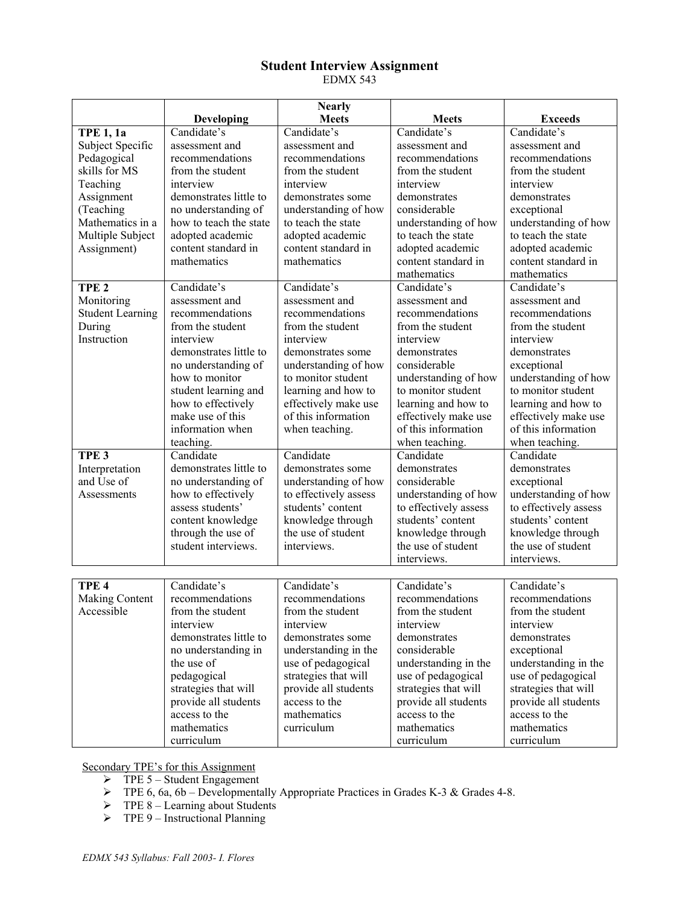## **Student Interview Assignment**  EDMX 543

|                         |                        | <b>Nearly</b>                     |                       |                       |
|-------------------------|------------------------|-----------------------------------|-----------------------|-----------------------|
|                         | <b>Developing</b>      | <b>Meets</b>                      | <b>Meets</b>          | <b>Exceeds</b>        |
| <b>TPE 1, 1a</b>        | Candidate's            | Candidate's                       | Candidate's           | Candidate's           |
| Subject Specific        | assessment and         | assessment and                    | assessment and        | assessment and        |
| Pedagogical             | recommendations        | recommendations                   | recommendations       | recommendations       |
| skills for MS           | from the student       | from the student                  | from the student      | from the student      |
| Teaching                | interview              | interview                         | interview             | interview             |
| Assignment              | demonstrates little to | demonstrates some                 | demonstrates          | demonstrates          |
| (Teaching               | no understanding of    | understanding of how              | considerable          | exceptional           |
| Mathematics in a        | how to teach the state | to teach the state                | understanding of how  | understanding of how  |
| Multiple Subject        | adopted academic       | adopted academic                  | to teach the state    | to teach the state    |
| Assignment)             | content standard in    | content standard in               | adopted academic      | adopted academic      |
|                         | mathematics            | mathematics                       | content standard in   | content standard in   |
|                         |                        |                                   | mathematics           | mathematics           |
| TPE <sub>2</sub>        | Candidate's            | Candidate's                       | Candidate's           | Candidate's           |
| Monitoring              | assessment and         | assessment and                    | assessment and        | assessment and        |
| <b>Student Learning</b> | recommendations        | recommendations                   | recommendations       | recommendations       |
| During                  | from the student       | from the student                  | from the student      | from the student      |
| Instruction             | interview              | interview                         | interview             | interview             |
|                         | demonstrates little to | demonstrates some                 | demonstrates          | demonstrates          |
|                         | no understanding of    | understanding of how              | considerable          | exceptional           |
|                         | how to monitor         | to monitor student                | understanding of how  | understanding of how  |
|                         | student learning and   | learning and how to               | to monitor student    | to monitor student    |
|                         | how to effectively     | effectively make use              | learning and how to   | learning and how to   |
|                         | make use of this       | of this information               | effectively make use  | effectively make use  |
|                         | information when       | when teaching.                    | of this information   | of this information   |
|                         | teaching.              |                                   | when teaching.        | when teaching.        |
| TPE <sub>3</sub>        | Candidate              | Candidate                         | Candidate             | Candidate             |
| Interpretation          | demonstrates little to | demonstrates some                 | demonstrates          | demonstrates          |
| and Use of              | no understanding of    | understanding of how              | considerable          | exceptional           |
| Assessments             | how to effectively     | to effectively assess             | understanding of how  | understanding of how  |
|                         | assess students'       | students' content                 | to effectively assess | to effectively assess |
|                         | content knowledge      | knowledge through                 | students' content     | students' content     |
|                         | through the use of     | the use of student                | knowledge through     | knowledge through     |
|                         | student interviews.    | the use of student<br>interviews. |                       | the use of student    |
|                         |                        |                                   | interviews.           | interviews.           |
|                         |                        |                                   |                       |                       |
| TPE <sub>4</sub>        | Candidate's            | Candidate's                       | Candidate's           | Candidate's           |
| Making Content          | recommendations        | recommendations                   | recommendations       | recommendations       |
| Accessible              | from the student       | from the student                  | from the student      | from the student      |
|                         | interview<br>interview |                                   | interview             | interview             |
|                         | demonstrates little to | demonstrates some                 | demonstrates          | demonstrates          |
|                         | no understanding in    | understanding in the              | considerable          | exceptional           |
|                         | the use of             | use of pedagogical                | understanding in the  | understanding in the  |
|                         | pedagogical            | strategies that will              | use of pedagogical    | use of pedagogical    |
|                         | strategies that will   | provide all students              | strategies that will  | strategies that will  |
|                         | provide all students   | access to the                     | provide all students  | provide all students  |
|                         | access to the          | mathematics                       | access to the         | access to the         |
|                         | mathematics            | curriculum                        | mathematics           | mathematics           |
|                         | curriculum             |                                   | curriculum            | curriculum            |

Secondary TPE's for this Assignment

- $\triangleright$  TPE 5 Student Engagement
- $\triangleright$  TPE 6, 6a, 6b Developmentally Appropriate Practices in Grades K-3 & Grades 4-8.
- $\triangleright$  TPE 8 Learning about Students
- $\triangleright$  TPE 9 Instructional Planning